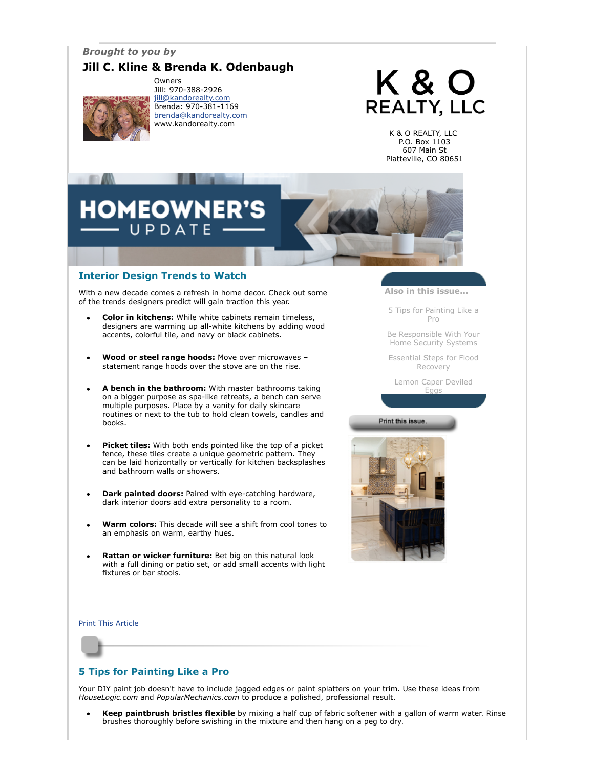## *Brought to you by*

## **Jill C. Kline & Brenda K. Odenbaugh**



Owners Jill: 970-388-2926 [jill@kandorealty.com](mailto:jill@kandorealty.com) Brenda: 970-381-1169 [brenda@kandorealty.com](mailto:brenda@kandorealty.com) www.kandorealty.com

# K & O **REALTY, LLC**

K & O REALTY, LLC P.O. Box 1103 607 Main St Platteville, CO 80651

## **DMEOWNER'** PDATE

## **Interior Design Trends to Watch**

With a new decade comes a refresh in home decor. Check out some of the trends designers predict will gain traction this year.

- **Color in kitchens:** While white cabinets remain timeless, designers are warming up all-white kitchens by adding wood accents, colorful tile, and navy or black cabinets.
- **Wood or steel range hoods:** Move over microwaves statement range hoods over the stove are on the rise.
- **A bench in the bathroom:** With master bathrooms taking on a bigger purpose as spa-like retreats, a bench can serve multiple purposes. Place by a vanity for daily skincare routines or next to the tub to hold clean towels, candles and books.
- **Picket tiles:** With both ends pointed like the top of a picket fence, these tiles create a unique geometric pattern. They can be laid horizontally or vertically for kitchen backsplashes and bathroom walls or showers.
- **Dark painted doors:** Paired with eye-catching hardware, dark interior doors add extra personality to a room.
- **Warm colors:** This decade will see a shift from cool tones to an emphasis on warm, earthy hues.
- **Rattan or wicker furniture:** Bet big on this natural look with a full dining or patio set, or add small accents with light fixtures or bar stools.

**Also in this issue...**

[5 Tips for Painting Like a](#page-0-0) Pro

[Be Responsible With Your](#page-1-0) Home Security Systems

[Essential Steps for Flood](#page-1-1) Recovery

[Lemon Caper Deviled](#page-2-0) Eggs

Print this issue



[Print This Article](javascript:print();)

## <span id="page-0-0"></span>**5 Tips for Painting Like a Pro**

Your DIY paint job doesn't have to include jagged edges or paint splatters on your trim. Use these ideas from *HouseLogic.com* and *PopularMechanics.com* to produce a polished, professional result.

**Keep paintbrush bristles flexible** by mixing a half cup of fabric softener with a gallon of warm water. Rinse brushes thoroughly before swishing in the mixture and then hang on a peg to dry.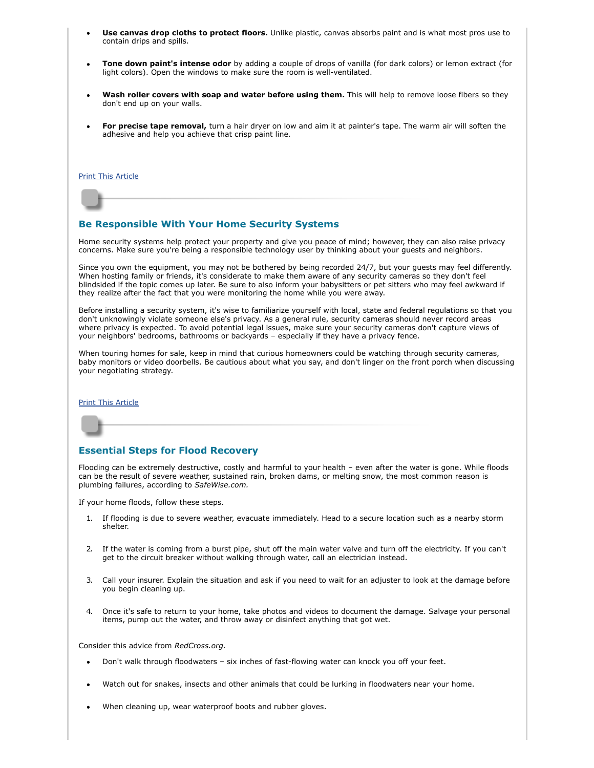- **Use canvas drop cloths to protect floors.** Unlike plastic, canvas absorbs paint and is what most pros use to contain drips and spills.
- **Tone down paint's intense odor** by adding a couple of drops of vanilla (for dark colors) or lemon extract (for light colors). Open the windows to make sure the room is well-ventilated.
- Wash roller covers with soap and water before using them. This will help to remove loose fibers so they don't end up on your walls.
- **For precise tape removal,** turn a hair dryer on low and aim it at painter's tape. The warm air will soften the adhesive and help you achieve that crisp paint line.

#### [Print This Article](javascript:print();)

## <span id="page-1-0"></span>**Be Responsible With Your Home Security Systems**

Home security systems help protect your property and give you peace of mind; however, they can also raise privacy concerns. Make sure you're being a responsible technology user by thinking about your guests and neighbors.

Since you own the equipment, you may not be bothered by being recorded 24/7, but your guests may feel differently. When hosting family or friends, it's considerate to make them aware of any security cameras so they don't feel blindsided if the topic comes up later. Be sure to also inform your babysitters or pet sitters who may feel awkward if they realize after the fact that you were monitoring the home while you were away.

Before installing a security system, it's wise to familiarize yourself with local, state and federal regulations so that you don't unknowingly violate someone else's privacy. As a general rule, security cameras should never record areas where privacy is expected. To avoid potential legal issues, make sure your security cameras don't capture views of your neighbors' bedrooms, bathrooms or backyards – especially if they have a privacy fence.

When touring homes for sale, keep in mind that curious homeowners could be watching through security cameras, baby monitors or video doorbells. Be cautious about what you say, and don't linger on the front porch when discussing your negotiating strategy.

#### [Print This Article](javascript:print();)

### <span id="page-1-1"></span>**Essential Steps for Flood Recovery**

Flooding can be extremely destructive, costly and harmful to your health – even after the water is gone. While floods can be the result of severe weather, sustained rain, broken dams, or melting snow, the most common reason is plumbing failures, according to *SafeWise.com.*

If your home floods, follow these steps.

- 1. If flooding is due to severe weather, evacuate immediately. Head to a secure location such as a nearby storm shelter.
- 2. If the water is coming from a burst pipe, shut off the main water valve and turn off the electricity. If you can't get to the circuit breaker without walking through water, call an electrician instead.
- 3. Call your insurer. Explain the situation and ask if you need to wait for an adjuster to look at the damage before you begin cleaning up.
- 4. Once it's safe to return to your home, take photos and videos to document the damage. Salvage your personal items, pump out the water, and throw away or disinfect anything that got wet.

Consider this advice from *RedCross.org.*

- Don't walk through floodwaters six inches of fast-flowing water can knock you off your feet.
- Watch out for snakes, insects and other animals that could be lurking in floodwaters near your home.
- When cleaning up, wear waterproof boots and rubber gloves.